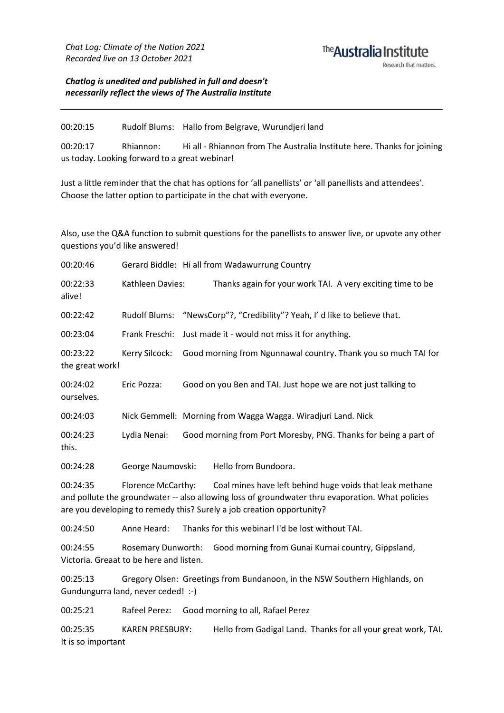### The **Australia Institute** Research that matters.

*Chatlog is unedited and published in full and doesn't necessarily reflect the views of The Australia Institute*

00:20:15 Rudolf Blums: Hallo from Belgrave, Wurundjeri land

00:20:17 Rhiannon: Hi all - Rhiannon from The Australia Institute here. Thanks for joining us today. Looking forward to a great webinar!

Just a little reminder that the chat has options for 'all panellists' or 'all panellists and attendees'. Choose the latter option to participate in the chat with everyone.

Also, use the Q&A function to submit questions for the panellists to answer live, or upvote any other questions you'd like answered!

| 00:20:46                       |                                                                      | Gerard Biddle: Hi all from Wadawurrung Country                                                                                                                                                                                        |  |  |
|--------------------------------|----------------------------------------------------------------------|---------------------------------------------------------------------------------------------------------------------------------------------------------------------------------------------------------------------------------------|--|--|
| 00:22:33<br>alive!             | Kathleen Davies:                                                     | Thanks again for your work TAI. A very exciting time to be                                                                                                                                                                            |  |  |
| 00:22:42                       | <b>Rudolf Blums:</b>                                                 | "NewsCorp"?, "Credibility"? Yeah, I' d like to believe that.                                                                                                                                                                          |  |  |
| 00:23:04                       | Frank Freschi:                                                       | Just made it - would not miss it for anything.                                                                                                                                                                                        |  |  |
| 00:23:22<br>the great work!    | Kerry Silcock:                                                       | Good morning from Ngunnawal country. Thank you so much TAI for                                                                                                                                                                        |  |  |
| 00:24:02<br>ourselves.         | Eric Pozza:                                                          | Good on you Ben and TAI. Just hope we are not just talking to                                                                                                                                                                         |  |  |
| 00:24:03                       |                                                                      | Nick Gemmell: Morning from Wagga Wagga. Wiradjuri Land. Nick                                                                                                                                                                          |  |  |
| 00:24:23<br>this.              | Lydia Nenai:                                                         | Good morning from Port Moresby, PNG. Thanks for being a part of                                                                                                                                                                       |  |  |
| 00:24:28                       | George Naumovski:                                                    | Hello from Bundoora.                                                                                                                                                                                                                  |  |  |
| 00:24:35                       | Florence McCarthy:                                                   | Coal mines have left behind huge voids that leak methane<br>and pollute the groundwater -- also allowing loss of groundwater thru evaporation. What policies<br>are you developing to remedy this? Surely a job creation opportunity? |  |  |
| 00:24:50                       | Anne Heard:                                                          | Thanks for this webinar! I'd be lost without TAI.                                                                                                                                                                                     |  |  |
| 00:24:55                       | <b>Rosemary Dunworth:</b><br>Victoria. Greaat to be here and listen. | Good morning from Gunai Kurnai country, Gippsland,                                                                                                                                                                                    |  |  |
| 00:25:13                       | Gundungurra land, never ceded! :-)                                   | Gregory Olsen: Greetings from Bundanoon, in the NSW Southern Highlands, on                                                                                                                                                            |  |  |
| 00:25:21                       | Rafeel Perez:                                                        | Good morning to all, Rafael Perez                                                                                                                                                                                                     |  |  |
| 00:25:35<br>It is so important | <b>KAREN PRESBURY:</b>                                               | Hello from Gadigal Land. Thanks for all your great work, TAI.                                                                                                                                                                         |  |  |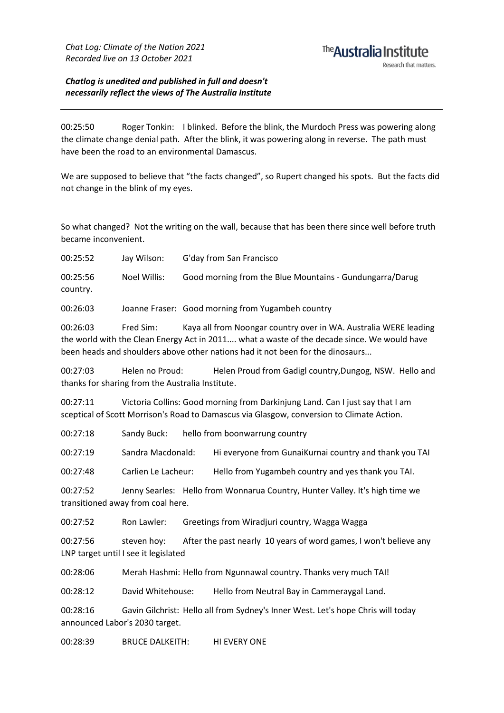## <sup>The</sup> Australia Institute

*Chatlog is unedited and published in full and doesn't necessarily reflect the views of The Australia Institute*

00:25:50 Roger Tonkin: I blinked. Before the blink, the Murdoch Press was powering along the climate change denial path. After the blink, it was powering along in reverse. The path must have been the road to an environmental Damascus.

We are supposed to believe that "the facts changed", so Rupert changed his spots. But the facts did not change in the blink of my eyes.

So what changed? Not the writing on the wall, because that has been there since well before truth became inconvenient.

00:25:52 Jay Wilson: G'day from San Francisco

00:25:56 Noel Willis: Good morning from the Blue Mountains - Gundungarra/Darug country.

00:26:03 Joanne Fraser: Good morning from Yugambeh country

00:26:03 Fred Sim: Kaya all from Noongar country over in WA. Australia WERE leading the world with the Clean Energy Act in 2011.... what a waste of the decade since. We would have been heads and shoulders above other nations had it not been for the dinosaurs...

00:27:03 Helen no Proud: Helen Proud from Gadigl country,Dungog, NSW. Hello and thanks for sharing from the Australia Institute.

00:27:11 Victoria Collins: Good morning from Darkinjung Land. Can I just say that I am sceptical of Scott Morrison's Road to Damascus via Glasgow, conversion to Climate Action.

00:27:18 Sandy Buck: hello from boonwarrung country

00:27:19 Sandra Macdonald: Hi everyone from GunaiKurnai country and thank you TAI

00:27:48 Carlien Le Lacheur: Hello from Yugambeh country and yes thank you TAI.

00:27:52 Jenny Searles: Hello from Wonnarua Country, Hunter Valley. It's high time we transitioned away from coal here.

00:27:52 Ron Lawler: Greetings from Wiradjuri country, Wagga Wagga

00:27:56 steven hoy: After the past nearly 10 years of word games, I won't believe any LNP target until I see it legislated

00:28:06 Merah Hashmi: Hello from Ngunnawal country. Thanks very much TAI!

00:28:12 David Whitehouse: Hello from Neutral Bay in Cammeraygal Land.

00:28:16 Gavin Gilchrist: Hello all from Sydney's Inner West. Let's hope Chris will today announced Labor's 2030 target.

00:28:39 BRUCE DALKEITH: HI EVERY ONE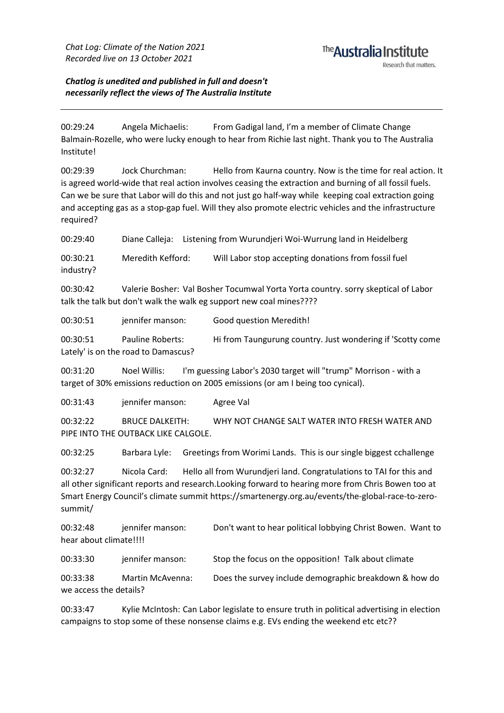# <sup>The</sup> Australia Institute

*Chatlog is unedited and published in full and doesn't necessarily reflect the views of The Australia Institute*

00:29:24 Angela Michaelis: From Gadigal land, I'm a member of Climate Change Balmain-Rozelle, who were lucky enough to hear from Richie last night. Thank you to The Australia Institute!

00:29:39 Jock Churchman: Hello from Kaurna country. Now is the time for real action. It is agreed world-wide that real action involves ceasing the extraction and burning of all fossil fuels. Can we be sure that Labor will do this and not just go half-way while keeping coal extraction going and accepting gas as a stop-gap fuel. Will they also promote electric vehicles and the infrastructure required?

00:29:40 Diane Calleja: Listening from Wurundjeri Woi-Wurrung land in Heidelberg

00:30:21 Meredith Kefford: Will Labor stop accepting donations from fossil fuel industry?

00:30:42 Valerie Bosher: Val Bosher Tocumwal Yorta Yorta country. sorry skeptical of Labor talk the talk but don't walk the walk eg support new coal mines????

00:30:51 jennifer manson: Good question Meredith!

00:30:51 Pauline Roberts: Hi from Taungurung country. Just wondering if 'Scotty come Lately' is on the road to Damascus?

00:31:20 Noel Willis: I'm guessing Labor's 2030 target will "trump" Morrison - with a target of 30% emissions reduction on 2005 emissions (or am I being too cynical).

00:31:43 jennifer manson: Agree Val

00:32:22 BRUCE DALKEITH: WHY NOT CHANGE SALT WATER INTO FRESH WATER AND PIPE INTO THE OUTBACK LIKE CALGOLE.

00:32:25 Barbara Lyle: Greetings from Worimi Lands. This is our single biggest cchallenge

00:32:27 Nicola Card: Hello all from Wurundjeri land. Congratulations to TAI for this and all other significant reports and research.Looking forward to hearing more from Chris Bowen too at Smart Energy Council's climate summit https://smartenergy.org.au/events/the-global-race-to-zerosummit/

00:32:48 jennifer manson: Don't want to hear political lobbying Christ Bowen. Want to hear about climate!!!!

00:33:30 jennifer manson: Stop the focus on the opposition! Talk about climate

00:33:38 Martin McAvenna: Does the survey include demographic breakdown & how do we access the details?

00:33:47 Kylie McIntosh: Can Labor legislate to ensure truth in political advertising in election campaigns to stop some of these nonsense claims e.g. EVs ending the weekend etc etc??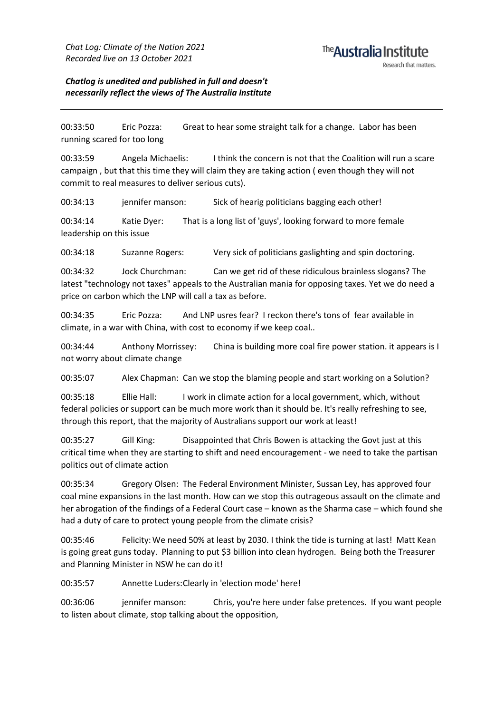*Chatlog is unedited and published in full and doesn't necessarily reflect the views of The Australia Institute*

00:33:50 Eric Pozza: Great to hear some straight talk for a change. Labor has been running scared for too long

00:33:59 Angela Michaelis: I think the concern is not that the Coalition will run a scare campaign , but that this time they will claim they are taking action ( even though they will not commit to real measures to deliver serious cuts).

00:34:13 jennifer manson: Sick of hearig politicians bagging each other!

00:34:14 Katie Dyer: That is a long list of 'guys', looking forward to more female leadership on this issue

00:34:18 Suzanne Rogers: Very sick of politicians gaslighting and spin doctoring.

00:34:32 Jock Churchman: Can we get rid of these ridiculous brainless slogans? The latest "technology not taxes" appeals to the Australian mania for opposing taxes. Yet we do need a price on carbon which the LNP will call a tax as before.

00:34:35 Eric Pozza: And LNP usres fear? I reckon there's tons of fear available in climate, in a war with China, with cost to economy if we keep coal..

00:34:44 Anthony Morrissey: China is building more coal fire power station. it appears is I not worry about climate change

00:35:07 Alex Chapman: Can we stop the blaming people and start working on a Solution?

00:35:18 Ellie Hall: I work in climate action for a local government, which, without federal policies or support can be much more work than it should be. It's really refreshing to see, through this report, that the majority of Australians support our work at least!

00:35:27 Gill King: Disappointed that Chris Bowen is attacking the Govt just at this critical time when they are starting to shift and need encouragement - we need to take the partisan politics out of climate action

00:35:34 Gregory Olsen: The Federal Environment Minister, Sussan Ley, has approved four coal mine expansions in the last month. How can we stop this outrageous assault on the climate and her abrogation of the findings of a Federal Court case – known as the Sharma case – which found she had a duty of care to protect young people from the climate crisis?

00:35:46 Felicity:We need 50% at least by 2030. I think the tide is turning at last! Matt Kean is going great guns today. Planning to put \$3 billion into clean hydrogen. Being both the Treasurer and Planning Minister in NSW he can do it!

00:35:57 Annette Luders:Clearly in 'election mode' here!

00:36:06 jennifer manson: Chris, you're here under false pretences. If you want people to listen about climate, stop talking about the opposition,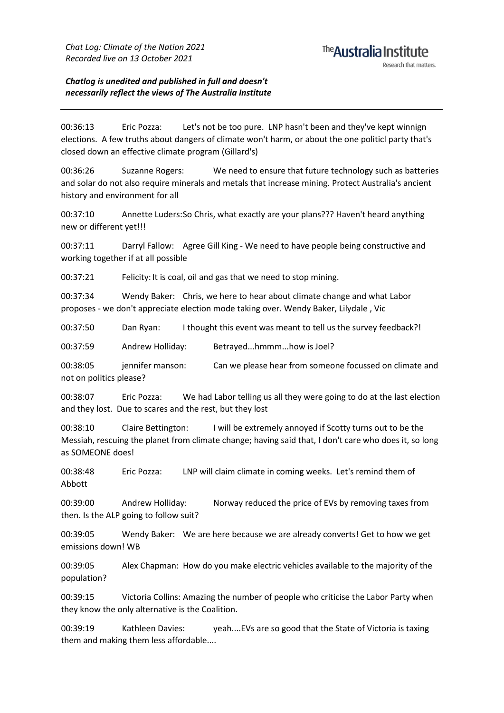#### <sup>The</sup> Australia Institute Research that matters

*Chatlog is unedited and published in full and doesn't necessarily reflect the views of The Australia Institute*

00:36:13 Eric Pozza: Let's not be too pure. LNP hasn't been and they've kept winnign elections. A few truths about dangers of climate won't harm, or about the one politicl party that's closed down an effective climate program (Gillard's)

00:36:26 Suzanne Rogers: We need to ensure that future technology such as batteries and solar do not also require minerals and metals that increase mining. Protect Australia's ancient history and environment for all

00:37:10 Annette Luders:So Chris, what exactly are your plans??? Haven't heard anything new or different yet!!!

00:37:11 Darryl Fallow: Agree Gill King - We need to have people being constructive and working together if at all possible

00:37:21 Felicity: It is coal, oil and gas that we need to stop mining.

00:37:34 Wendy Baker: Chris, we here to hear about climate change and what Labor proposes - we don't appreciate election mode taking over. Wendy Baker, Lilydale , Vic

00:37:50 Dan Ryan: I thought this event was meant to tell us the survey feedback?!

00:37:59 Andrew Holliday: Betrayed...hmmm...how is Joel?

00:38:05 jennifer manson: Can we please hear from someone focussed on climate and not on politics please?

00:38:07 Eric Pozza: We had Labor telling us all they were going to do at the last election and they lost. Due to scares and the rest, but they lost

00:38:10 Claire Bettington: I will be extremely annoyed if Scotty turns out to be the Messiah, rescuing the planet from climate change; having said that, I don't care who does it, so long as SOMEONE does!

00:38:48 Eric Pozza: LNP will claim climate in coming weeks. Let's remind them of Abbott

00:39:00 Andrew Holliday: Norway reduced the price of EVs by removing taxes from then. Is the ALP going to follow suit?

00:39:05 Wendy Baker: We are here because we are already converts! Get to how we get emissions down! WB

00:39:05 Alex Chapman: How do you make electric vehicles available to the majority of the population?

00:39:15 Victoria Collins: Amazing the number of people who criticise the Labor Party when they know the only alternative is the Coalition.

00:39:19 Kathleen Davies: yeah....EVs are so good that the State of Victoria is taxing them and making them less affordable....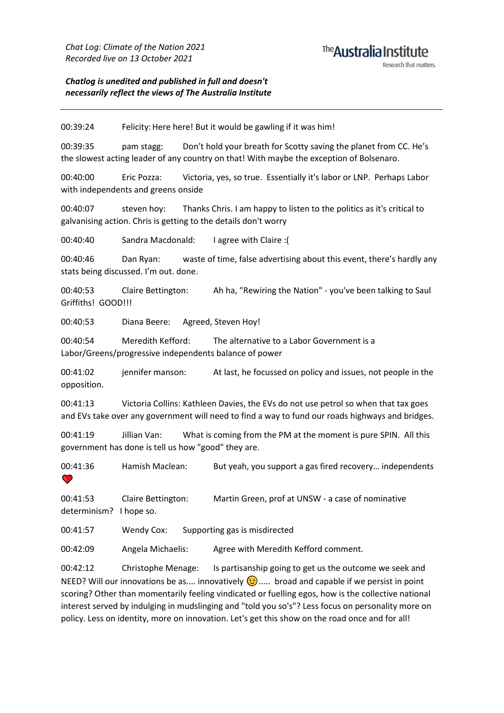*Chatlog is unedited and published in full and doesn't necessarily reflect the views of The Australia Institute*

00:39:24 Felicity: Here here! But it would be gawling if it was him!

00:39:35 pam stagg: Don't hold your breath for Scotty saving the planet from CC. He's the slowest acting leader of any country on that! With maybe the exception of Bolsenaro.

00:40:00 Eric Pozza: Victoria, yes, so true. Essentially it's labor or LNP. Perhaps Labor with independents and greens onside

00:40:07 steven hoy: Thanks Chris. I am happy to listen to the politics as it's critical to galvanising action. Chris is getting to the details don't worry

00:40:40 Sandra Macdonald: I agree with Claire :(

00:40:46 Dan Ryan: waste of time, false advertising about this event, there's hardly any stats being discussed. I'm out. done.

00:40:53 Claire Bettington: Ah ha, "Rewiring the Nation" - you've been talking to Saul Griffiths! GOOD!!!

00:40:53 Diana Beere: Agreed, Steven Hoy!

00:40:54 Meredith Kefford: The alternative to a Labor Government is a Labor/Greens/progressive independents balance of power

00:41:02 jennifer manson: At last, he focussed on policy and issues, not people in the opposition.

00:41:13 Victoria Collins: Kathleen Davies, the EVs do not use petrol so when that tax goes and EVs take over any government will need to find a way to fund our roads highways and bridges.

00:41:19 Jillian Van: What is coming from the PM at the moment is pure SPIN. All this government has done is tell us how "good" they are.

00:41:36 Hamish Maclean: But yeah, you support a gas fired recovery… independents  $\bullet$ 

00:41:53 Claire Bettington: Martin Green, prof at UNSW - a case of nominative determinism? I hope so.

00:41:57 Wendy Cox: Supporting gas is misdirected

00:42:09 Angela Michaelis: Agree with Meredith Kefford comment.

00:42:12 Christophe Menage: Is partisanship going to get us the outcome we seek and NEED? Will our innovations be as.... innovatively  $\odot$ ..... broad and capable if we persist in point scoring? Other than momentarily feeling vindicated or fuelling egos, how is the collective national interest served by indulging in mudslinging and "told you so's"? Less focus on personality more on policy. Less on identity, more on innovation. Let's get this show on the road once and for all!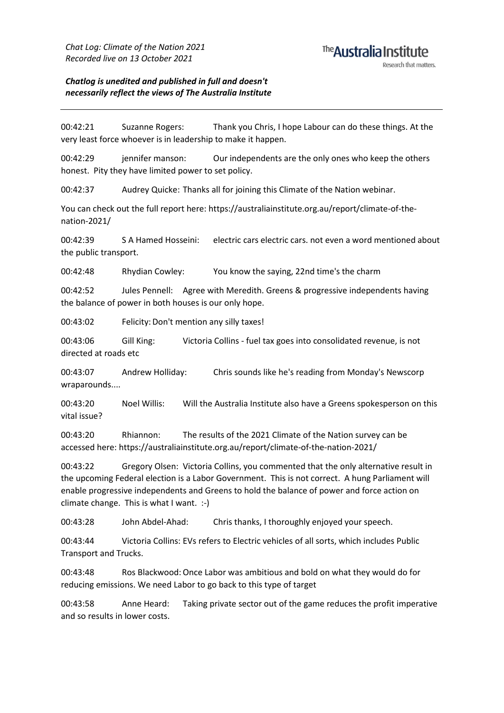#### *Chatlog is unedited and published in full and doesn't necessarily reflect the views of The Australia Institute*

00:42:21 Suzanne Rogers: Thank you Chris, I hope Labour can do these things. At the very least force whoever is in leadership to make it happen.

00:42:29 jennifer manson: Our independents are the only ones who keep the others honest. Pity they have limited power to set policy.

00:42:37 Audrey Quicke: Thanks all for joining this Climate of the Nation webinar.

You can check out the full report here: https://australiainstitute.org.au/report/climate-of-thenation-2021/

00:42:39 S A Hamed Hosseini: electric cars electric cars. not even a word mentioned about the public transport.

00:42:48 Rhydian Cowley: You know the saying, 22nd time's the charm

00:42:52 Jules Pennell: Agree with Meredith. Greens & progressive independents having the balance of power in both houses is our only hope.

00:43:02 Felicity:Don't mention any silly taxes!

00:43:06 Gill King: Victoria Collins - fuel tax goes into consolidated revenue, is not directed at roads etc

00:43:07 Andrew Holliday: Chris sounds like he's reading from Monday's Newscorp wraparounds....

00:43:20 Noel Willis: Will the Australia Institute also have a Greens spokesperson on this vital issue?

00:43:20 Rhiannon: The results of the 2021 Climate of the Nation survey can be accessed here: https://australiainstitute.org.au/report/climate-of-the-nation-2021/

00:43:22 Gregory Olsen: Victoria Collins, you commented that the only alternative result in the upcoming Federal election is a Labor Government. This is not correct. A hung Parliament will enable progressive independents and Greens to hold the balance of power and force action on climate change. This is what I want. :-)

00:43:28 John Abdel-Ahad: Chris thanks, I thoroughly enjoyed your speech.

00:43:44 Victoria Collins: EVs refers to Electric vehicles of all sorts, which includes Public Transport and Trucks.

00:43:48 Ros Blackwood:Once Labor was ambitious and bold on what they would do for reducing emissions. We need Labor to go back to this type of target

00:43:58 Anne Heard: Taking private sector out of the game reduces the profit imperative and so results in lower costs.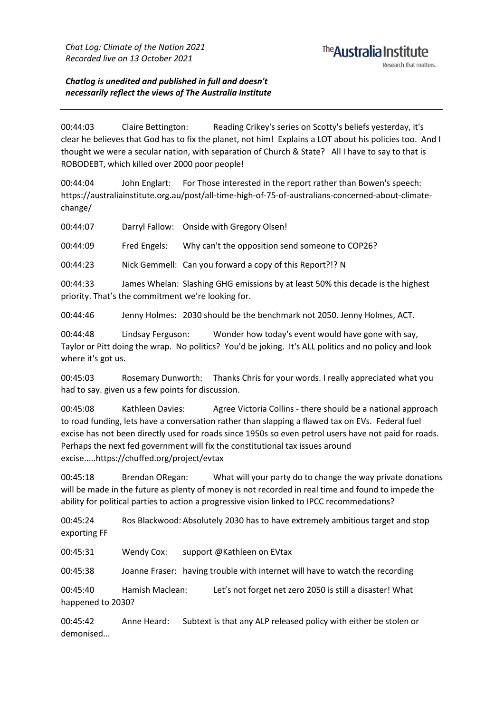## <sup>The</sup> Australia Institute

Research that matters

*Chatlog is unedited and published in full and doesn't necessarily reflect the views of The Australia Institute*

00:44:03 Claire Bettington: Reading Crikey's series on Scotty's beliefs yesterday, it's clear he believes that God has to fix the planet, not him! Explains a LOT about his policies too. And I thought we were a secular nation, with separation of Church & State? All I have to say to that is ROBODEBT, which killed over 2000 poor people!

00:44:04 John Englart: For Those interested in the report rather than Bowen's speech: https://australiainstitute.org.au/post/all-time-high-of-75-of-australians-concerned-about-climatechange/

00:44:07 Darryl Fallow: Onside with Gregory Olsen!

00:44:09 Fred Engels: Why can't the opposition send someone to COP26?

00:44:23 Nick Gemmell: Can you forward a copy of this Report?!? N

00:44:33 James Whelan: Slashing GHG emissions by at least 50% this decade is the highest priority. That's the commitment we're looking for.

00:44:46 Jenny Holmes: 2030 should be the benchmark not 2050. Jenny Holmes, ACT.

00:44:48 Lindsay Ferguson: Wonder how today's event would have gone with say, Taylor or Pitt doing the wrap. No politics? You'd be joking. It's ALL politics and no policy and look where it's got us.

00:45:03 Rosemary Dunworth: Thanks Chris for your words. I really appreciated what you had to say. given us a few points for discussion.

00:45:08 Kathleen Davies: Agree Victoria Collins - there should be a national approach to road funding, lets have a conversation rather than slapping a flawed tax on EVs. Federal fuel excise has not been directly used for roads since 1950s so even petrol users have not paid for roads. Perhaps the next fed government will fix the constitutional tax issues around excise.....https://chuffed.org/project/evtax

00:45:18 Brendan ORegan: What will your party do to change the way private donations will be made in the future as plenty of money is not recorded in real time and found to impede the ability for political parties to action a progressive vision linked to IPCC recommedations?

00:45:24 Ros Blackwood: Absolutely 2030 has to have extremely ambitious target and stop exporting FF

00:45:31 Wendy Cox: support @Kathleen on EVtax

00:45:38 Joanne Fraser: having trouble with internet will have to watch the recording

00:45:40 Hamish Maclean: Let's not forget net zero 2050 is still a disaster! What happened to 2030?

00:45:42 Anne Heard: Subtext is that any ALP released policy with either be stolen or demonised...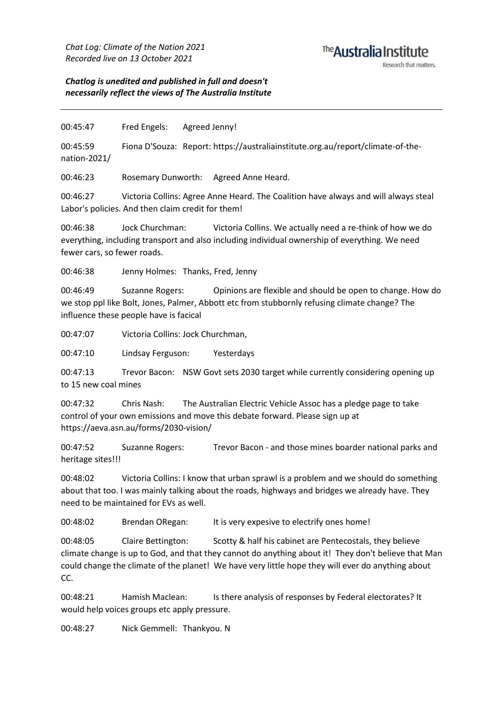## <sup>The</sup> Australia Institute

*Chatlog is unedited and published in full and doesn't necessarily reflect the views of The Australia Institute*

00:45:47 Fred Engels: Agreed Jenny!

00:45:59 Fiona D'Souza: Report: https://australiainstitute.org.au/report/climate-of-thenation-2021/

00:46:23 Rosemary Dunworth: Agreed Anne Heard.

00:46:27 Victoria Collins: Agree Anne Heard. The Coalition have always and will always steal Labor's policies. And then claim credit for them!

00:46:38 Jock Churchman: Victoria Collins. We actually need a re-think of how we do everything, including transport and also including individual ownership of everything. We need fewer cars, so fewer roads.

00:46:38 Jenny Holmes: Thanks, Fred, Jenny

00:46:49 Suzanne Rogers: Opinions are flexible and should be open to change. How do we stop ppl like Bolt, Jones, Palmer, Abbott etc from stubbornly refusing climate change? The influence these people have is facical

00:47:07 Victoria Collins: Jock Churchman,

00:47:10 Lindsay Ferguson: Yesterdays

00:47:13 Trevor Bacon: NSW Govt sets 2030 target while currently considering opening up to 15 new coal mines

00:47:32 Chris Nash: The Australian Electric Vehicle Assoc has a pledge page to take control of your own emissions and move this debate forward. Please sign up at https://aeva.asn.au/forms/2030-vision/

00:47:52 Suzanne Rogers: Trevor Bacon - and those mines boarder national parks and heritage sites!!!

00:48:02 Victoria Collins: I know that urban sprawl is a problem and we should do something about that too. I was mainly talking about the roads, highways and bridges we already have. They need to be maintained for EVs as well.

00:48:02 Brendan ORegan: It is very expesive to electrify ones home!

00:48:05 Claire Bettington: Scotty & half his cabinet are Pentecostals, they believe climate change is up to God, and that they cannot do anything about it! They don't believe that Man could change the climate of the planet! We have very little hope they will ever do anything about CC.

00:48:21 Hamish Maclean: Is there analysis of responses by Federal electorates? It would help voices groups etc apply pressure.

00:48:27 Nick Gemmell: Thankyou. N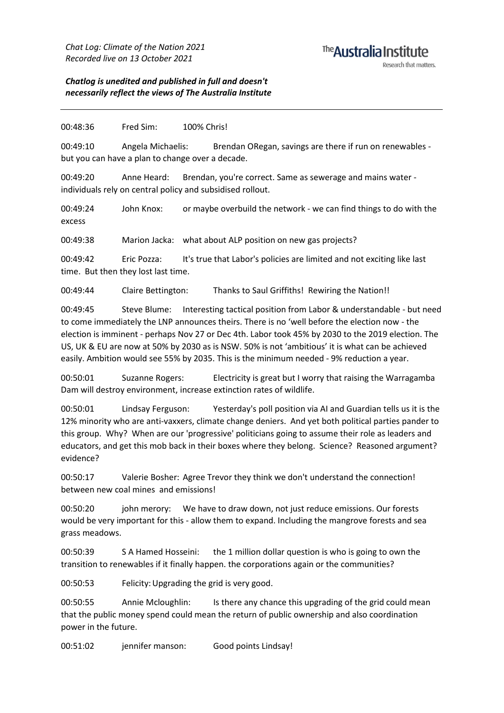#### *Chatlog is unedited and published in full and doesn't necessarily reflect the views of The Australia Institute*

#### 00:48:36 Fred Sim: 100% Chris!

00:49:10 Angela Michaelis: Brendan ORegan, savings are there if run on renewables but you can have a plan to change over a decade.

00:49:20 Anne Heard: Brendan, you're correct. Same as sewerage and mains water individuals rely on central policy and subsidised rollout.

00:49:24 John Knox: or maybe overbuild the network - we can find things to do with the excess

00:49:38 Marion Jacka: what about ALP position on new gas projects?

00:49:42 Eric Pozza: It's true that Labor's policies are limited and not exciting like last time. But then they lost last time.

00:49:44 Claire Bettington: Thanks to Saul Griffiths! Rewiring the Nation!!

00:49:45 Steve Blume: Interesting tactical position from Labor & understandable - but need to come immediately the LNP announces theirs. There is no 'well before the election now - the election is imminent - perhaps Nov 27 or Dec 4th. Labor took 45% by 2030 to the 2019 election. The US, UK & EU are now at 50% by 2030 as is NSW. 50% is not 'ambitious' it is what can be achieved easily. Ambition would see 55% by 2035. This is the minimum needed - 9% reduction a year.

00:50:01 Suzanne Rogers: Electricity is great but I worry that raising the Warragamba Dam will destroy environment, increase extinction rates of wildlife.

00:50:01 Lindsay Ferguson: Yesterday's poll position via AI and Guardian tells us it is the 12% minority who are anti-vaxxers, climate change deniers. And yet both political parties pander to this group. Why? When are our 'progressive' politicians going to assume their role as leaders and educators, and get this mob back in their boxes where they belong. Science? Reasoned argument? evidence?

00:50:17 Valerie Bosher: Agree Trevor they think we don't understand the connection! between new coal mines and emissions!

00:50:20 john merory: We have to draw down, not just reduce emissions. Our forests would be very important for this - allow them to expand. Including the mangrove forests and sea grass meadows.

00:50:39 S A Hamed Hosseini: the 1 million dollar question is who is going to own the transition to renewables if it finally happen. the corporations again or the communities?

00:50:53 Felicity:Upgrading the grid is very good.

00:50:55 Annie Mcloughlin: Is there any chance this upgrading of the grid could mean that the public money spend could mean the return of public ownership and also coordination power in the future.

00:51:02 jennifer manson: Good points Lindsay!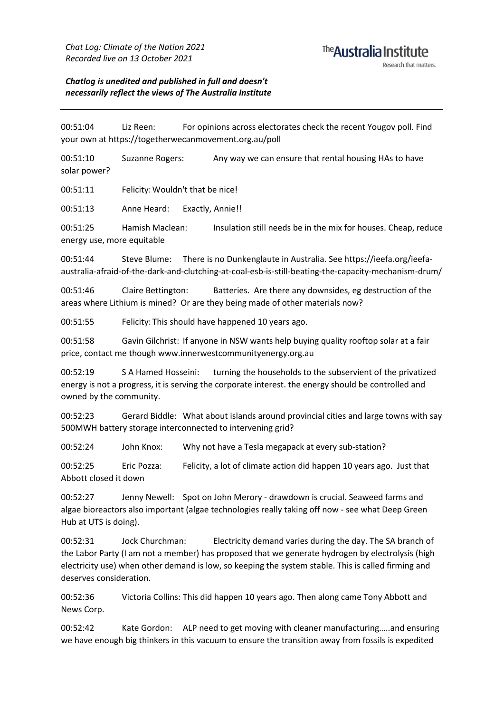#### <sup>The</sup> Australia Institute Research that matters

*Chatlog is unedited and published in full and doesn't necessarily reflect the views of The Australia Institute*

00:51:04 Liz Reen: For opinions across electorates check the recent Yougov poll. Find your own at https://togetherwecanmovement.org.au/poll

00:51:10 Suzanne Rogers: Any way we can ensure that rental housing HAs to have solar power?

00:51:11 Felicity:Wouldn't that be nice!

00:51:13 Anne Heard: Exactly, Annie!!

00:51:25 Hamish Maclean: Insulation still needs be in the mix for houses. Cheap, reduce energy use, more equitable

00:51:44 Steve Blume: There is no Dunkenglaute in Australia. See https://ieefa.org/ieefaaustralia-afraid-of-the-dark-and-clutching-at-coal-esb-is-still-beating-the-capacity-mechanism-drum/

00:51:46 Claire Bettington: Batteries. Are there any downsides, eg destruction of the areas where Lithium is mined? Or are they being made of other materials now?

00:51:55 Felicity: This should have happened 10 years ago.

00:51:58 Gavin Gilchrist: If anyone in NSW wants help buying quality rooftop solar at a fair price, contact me though www.innerwestcommunityenergy.org.au

00:52:19 S A Hamed Hosseini: turning the households to the subservient of the privatized energy is not a progress, it is serving the corporate interest. the energy should be controlled and owned by the community.

00:52:23 Gerard Biddle: What about islands around provincial cities and large towns with say 500MWH battery storage interconnected to intervening grid?

00:52:24 John Knox: Why not have a Tesla megapack at every sub-station?

00:52:25 Eric Pozza: Felicity, a lot of climate action did happen 10 years ago. Just that Abbott closed it down

00:52:27 Jenny Newell: Spot on John Merory - drawdown is crucial. Seaweed farms and algae bioreactors also important (algae technologies really taking off now - see what Deep Green Hub at UTS is doing).

00:52:31 Jock Churchman: Electricity demand varies during the day. The SA branch of the Labor Party (I am not a member) has proposed that we generate hydrogen by electrolysis (high electricity use) when other demand is low, so keeping the system stable. This is called firming and deserves consideration.

00:52:36 Victoria Collins: This did happen 10 years ago. Then along came Tony Abbott and News Corp.

00:52:42 Kate Gordon: ALP need to get moving with cleaner manufacturing…..and ensuring we have enough big thinkers in this vacuum to ensure the transition away from fossils is expedited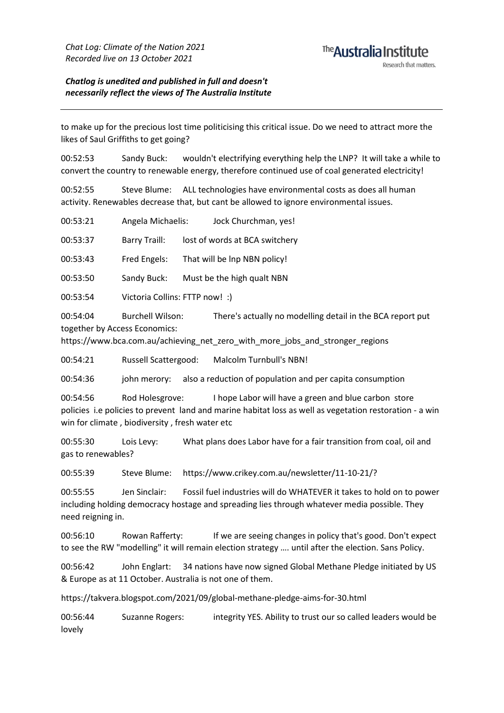*Chatlog is unedited and published in full and doesn't necessarily reflect the views of The Australia Institute*

to make up for the precious lost time politicising this critical issue. Do we need to attract more the likes of Saul Griffiths to get going?

00:52:53 Sandy Buck: wouldn't electrifying everything help the LNP? It will take a while to convert the country to renewable energy, therefore continued use of coal generated electricity!

00:52:55 Steve Blume: ALL technologies have environmental costs as does all human activity. Renewables decrease that, but cant be allowed to ignore environmental issues.

| 00:53:21 | Angela Michaelis:                                        | Jock Churchman, yes!                                                                                                                        |
|----------|----------------------------------------------------------|---------------------------------------------------------------------------------------------------------------------------------------------|
| 00:53:37 | Barry Traill:                                            | lost of words at BCA switchery                                                                                                              |
| 00:53:43 | Fred Engels:                                             | That will be Inp NBN policy!                                                                                                                |
| 00:53:50 | Sandy Buck:                                              | Must be the high qualt NBN                                                                                                                  |
| 00:53:54 | Victoria Collins: FTTP now! :)                           |                                                                                                                                             |
| 00:54:04 | <b>Burchell Wilson:</b><br>together by Access Economics: | There's actually no modelling detail in the BCA report put<br>https://www.bca.com.au/achieving net zero with more jobs and stronger regions |

00:54:21 Russell Scattergood: Malcolm Turnbull's NBN!

00:54:36 john merory: also a reduction of population and per capita consumption

00:54:56 Rod Holesgrove: I hope Labor will have a green and blue carbon store policies i.e policies to prevent land and marine habitat loss as well as vegetation restoration - a win win for climate , biodiversity , fresh water etc

00:55:30 Lois Levy: What plans does Labor have for a fair transition from coal, oil and gas to renewables?

00:55:39 Steve Blume: https://www.crikey.com.au/newsletter/11-10-21/?

00:55:55 Jen Sinclair: Fossil fuel industries will do WHATEVER it takes to hold on to power including holding democracy hostage and spreading lies through whatever media possible. They need reigning in.

00:56:10 Rowan Rafferty: If we are seeing changes in policy that's good. Don't expect to see the RW "modelling" it will remain election strategy …. until after the election. Sans Policy.

00:56:42 John Englart: 34 nations have now signed Global Methane Pledge initiated by US & Europe as at 11 October. Australia is not one of them.

https://takvera.blogspot.com/2021/09/global-methane-pledge-aims-for-30.html

00:56:44 Suzanne Rogers: integrity YES. Ability to trust our so called leaders would be lovely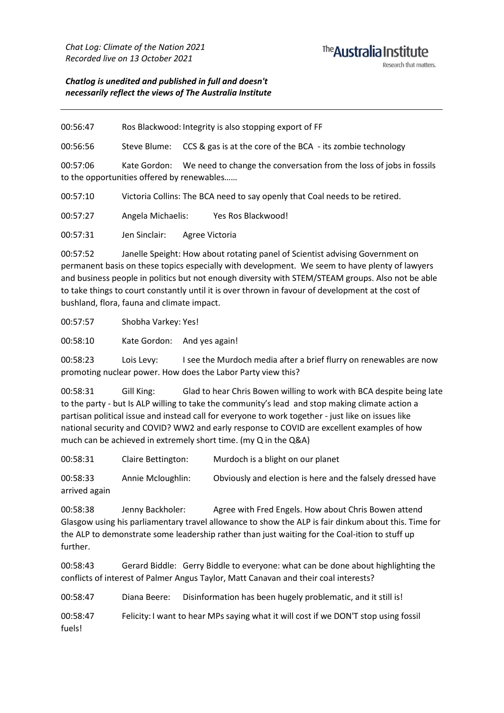#### <sup>The</sup> Australia Institute Research that matters

*Chatlog is unedited and published in full and doesn't necessarily reflect the views of The Australia Institute*

00:56:47 Ros Blackwood: Integrity is also stopping export of FF

00:56:56 Steve Blume: CCS & gas is at the core of the BCA - its zombie technology

00:57:06 Kate Gordon: We need to change the conversation from the loss of jobs in fossils to the opportunities offered by renewables……

00:57:10 Victoria Collins: The BCA need to say openly that Coal needs to be retired.

00:57:27 Angela Michaelis: Yes Ros Blackwood!

00:57:31 Jen Sinclair: Agree Victoria

00:57:52 Janelle Speight: How about rotating panel of Scientist advising Government on permanent basis on these topics especially with development. We seem to have plenty of lawyers and business people in politics but not enough diversity with STEM/STEAM groups. Also not be able to take things to court constantly until it is over thrown in favour of development at the cost of bushland, flora, fauna and climate impact.

00:57:57 Shobha Varkey: Yes!

00:58:10 Kate Gordon: And yes again!

00:58:23 Lois Levy: I see the Murdoch media after a brief flurry on renewables are now promoting nuclear power. How does the Labor Party view this?

00:58:31 Gill King: Glad to hear Chris Bowen willing to work with BCA despite being late to the party - but Is ALP willing to take the community's lead and stop making climate action a partisan political issue and instead call for everyone to work together - just like on issues like national security and COVID? WW2 and early response to COVID are excellent examples of how much can be achieved in extremely short time. (my Q in the Q&A)

00:58:31 Claire Bettington: Murdoch is a blight on our planet

00:58:33 Annie Mcloughlin: Obviously and election is here and the falsely dressed have arrived again

00:58:38 Jenny Backholer: Agree with Fred Engels. How about Chris Bowen attend Glasgow using his parliamentary travel allowance to show the ALP is fair dinkum about this. Time for the ALP to demonstrate some leadership rather than just waiting for the Coal-ition to stuff up further.

00:58:43 Gerard Biddle: Gerry Biddle to everyone: what can be done about highlighting the conflicts of interest of Palmer Angus Taylor, Matt Canavan and their coal interests?

00:58:47 Diana Beere: Disinformation has been hugely problematic, and it still is!

00:58:47 Felicity: I want to hear MPs saying what it will cost if we DON'T stop using fossil fuels!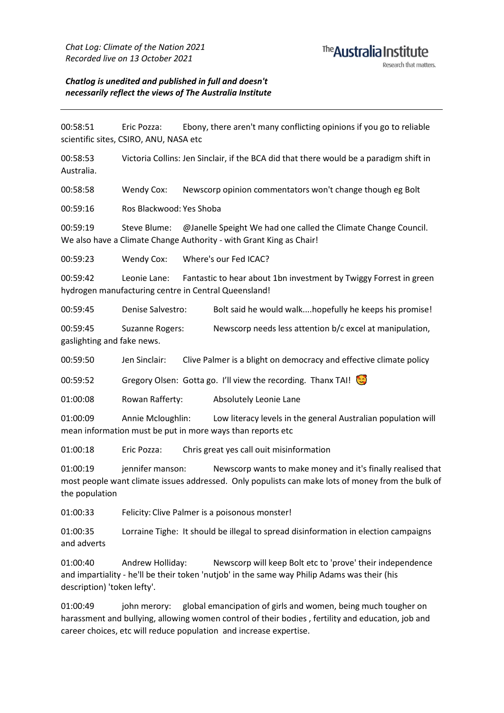#### <sup>The</sup> Australia Institute Research that matters

#### *Chatlog is unedited and published in full and doesn't necessarily reflect the views of The Australia Institute*

00:58:51 Eric Pozza: Ebony, there aren't many conflicting opinions if you go to reliable scientific sites, CSIRO, ANU, NASA etc

00:58:53 Victoria Collins: Jen Sinclair, if the BCA did that there would be a paradigm shift in Australia.

00:58:58 Wendy Cox: Newscorp opinion commentators won't change though eg Bolt

00:59:16 Ros Blackwood: Yes Shoba

00:59:19 Steve Blume: @Janelle Speight We had one called the Climate Change Council. We also have a Climate Change Authority - with Grant King as Chair!

00:59:23 Wendy Cox: Where's our Fed ICAC?

00:59:42 Leonie Lane: Fantastic to hear about 1bn investment by Twiggy Forrest in green hydrogen manufacturing centre in Central Queensland!

00:59:45 Denise Salvestro: Bolt said he would walk....hopefully he keeps his promise!

00:59:45 Suzanne Rogers: Newscorp needs less attention b/c excel at manipulation, gaslighting and fake news.

00:59:50 Jen Sinclair: Clive Palmer is a blight on democracy and effective climate policy

00:59:52 Gregory Olsen: Gotta go. I'll view the recording. Thanx TAI!

01:00:08 Rowan Rafferty: Absolutely Leonie Lane

01:00:09 Annie Mcloughlin: Low literacy levels in the general Australian population will mean information must be put in more ways than reports etc

01:00:18 Eric Pozza: Chris great yes call ouit misinformation

01:00:19 jennifer manson: Newscorp wants to make money and it's finally realised that most people want climate issues addressed. Only populists can make lots of money from the bulk of the population

01:00:33 Felicity: Clive Palmer is a poisonous monster!

01:00:35 Lorraine Tighe: It should be illegal to spread disinformation in election campaigns and adverts

01:00:40 Andrew Holliday: Newscorp will keep Bolt etc to 'prove' their independence and impartiality - he'll be their token 'nutjob' in the same way Philip Adams was their (his description) 'token lefty'.

01:00:49 john merory: global emancipation of girls and women, being much tougher on harassment and bullying, allowing women control of their bodies , fertility and education, job and career choices, etc will reduce population and increase expertise.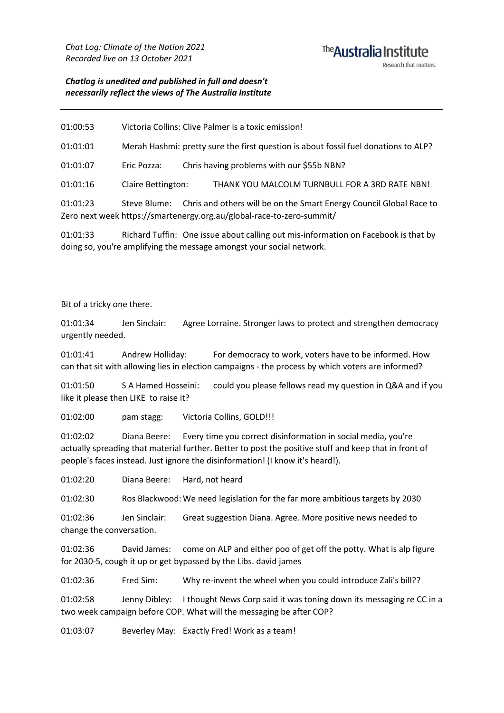#### <sup>The</sup> Australia Institute Research that matters

#### *Chatlog is unedited and published in full and doesn't necessarily reflect the views of The Australia Institute*

01:00:53 Victoria Collins: Clive Palmer is a toxic emission!

01:01:01 Merah Hashmi: pretty sure the first question is about fossil fuel donations to ALP?

01:01:07 Eric Pozza: Chris having problems with our \$55b NBN?

01:01:16 Claire Bettington: THANK YOU MALCOLM TURNBULL FOR A 3RD RATE NBN!

01:01:23 Steve Blume: Chris and others will be on the Smart Energy Council Global Race to Zero next week https://smartenergy.org.au/global-race-to-zero-summit/

01:01:33 Richard Tuffin: One issue about calling out mis-information on Facebook is that by doing so, you're amplifying the message amongst your social network.

Bit of a tricky one there.

01:01:34 Jen Sinclair: Agree Lorraine. Stronger laws to protect and strengthen democracy urgently needed.

01:01:41 Andrew Holliday: For democracy to work, voters have to be informed. How can that sit with allowing lies in election campaigns - the process by which voters are informed?

01:01:50 S A Hamed Hosseini: could you please fellows read my question in Q&A and if you like it please then LIKE to raise it?

01:02:00 pam stagg: Victoria Collins, GOLD!!!

01:02:02 Diana Beere: Every time you correct disinformation in social media, you're actually spreading that material further. Better to post the positive stuff and keep that in front of people's faces instead. Just ignore the disinformation! (I know it's heard!).

01:02:20 Diana Beere: Hard, not heard

01:02:30 Ros Blackwood: We need legislation for the far more ambitious targets by 2030

01:02:36 Jen Sinclair: Great suggestion Diana. Agree. More positive news needed to change the conversation.

01:02:36 David James: come on ALP and either poo of get off the potty. What is alp figure for 2030-5, cough it up or get bypassed by the Libs. david james

01:02:36 Fred Sim: Why re-invent the wheel when you could introduce Zali's bill??

01:02:58 Jenny Dibley: I thought News Corp said it was toning down its messaging re CC in a two week campaign before COP. What will the messaging be after COP?

01:03:07 Beverley May: Exactly Fred! Work as a team!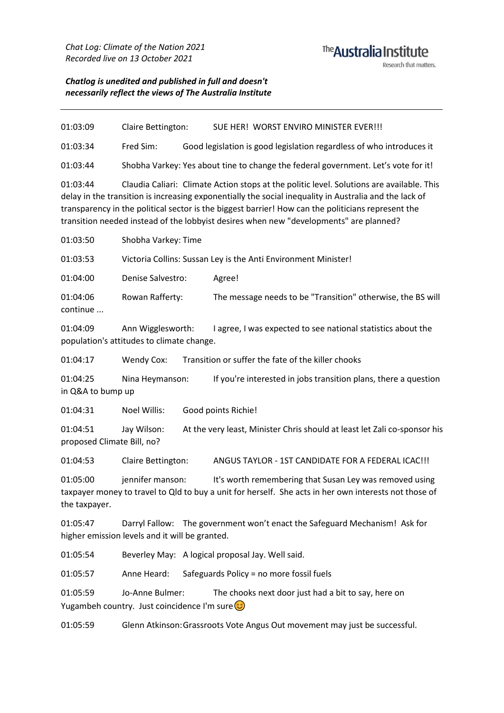### The Australia Institute Research that matters.

### *Chatlog is unedited and published in full and doesn't necessarily reflect the views of The Australia Institute*

| 01:03:09                                                                                                                                                                                                                                                                                                                                                                                                        | Claire Bettington:                                                                                                                                                                   |                                                                           | SUE HER! WORST ENVIRO MINISTER EVER!!!                               |  |  |
|-----------------------------------------------------------------------------------------------------------------------------------------------------------------------------------------------------------------------------------------------------------------------------------------------------------------------------------------------------------------------------------------------------------------|--------------------------------------------------------------------------------------------------------------------------------------------------------------------------------------|---------------------------------------------------------------------------|----------------------------------------------------------------------|--|--|
| 01:03:34                                                                                                                                                                                                                                                                                                                                                                                                        | Fred Sim:                                                                                                                                                                            |                                                                           | Good legislation is good legislation regardless of who introduces it |  |  |
| 01:03:44                                                                                                                                                                                                                                                                                                                                                                                                        | Shobha Varkey: Yes about tine to change the federal government. Let's vote for it!                                                                                                   |                                                                           |                                                                      |  |  |
| Claudia Caliari: Climate Action stops at the politic level. Solutions are available. This<br>01:03:44<br>delay in the transition is increasing exponentially the social inequality in Australia and the lack of<br>transparency in the political sector is the biggest barrier! How can the politicians represent the<br>transition needed instead of the lobbyist desires when new "developments" are planned? |                                                                                                                                                                                      |                                                                           |                                                                      |  |  |
| 01:03:50                                                                                                                                                                                                                                                                                                                                                                                                        | Shobha Varkey: Time                                                                                                                                                                  |                                                                           |                                                                      |  |  |
| 01:03:53                                                                                                                                                                                                                                                                                                                                                                                                        | Victoria Collins: Sussan Ley is the Anti Environment Minister!                                                                                                                       |                                                                           |                                                                      |  |  |
| 01:04:00                                                                                                                                                                                                                                                                                                                                                                                                        | Denise Salvestro:                                                                                                                                                                    |                                                                           | Agree!                                                               |  |  |
| 01:04:06<br>continue                                                                                                                                                                                                                                                                                                                                                                                            | Rowan Rafferty:                                                                                                                                                                      |                                                                           | The message needs to be "Transition" otherwise, the BS will          |  |  |
| 01:04:09                                                                                                                                                                                                                                                                                                                                                                                                        | Ann Wigglesworth:<br>I agree, I was expected to see national statistics about the<br>population's attitudes to climate change.                                                       |                                                                           |                                                                      |  |  |
| 01:04:17                                                                                                                                                                                                                                                                                                                                                                                                        | <b>Wendy Cox:</b>                                                                                                                                                                    |                                                                           | Transition or suffer the fate of the killer chooks                   |  |  |
| 01:04:25<br>Nina Heymanson:<br>If you're interested in jobs transition plans, there a question<br>in Q&A to bump up                                                                                                                                                                                                                                                                                             |                                                                                                                                                                                      |                                                                           |                                                                      |  |  |
| 01:04:31                                                                                                                                                                                                                                                                                                                                                                                                        | Noel Willis:                                                                                                                                                                         |                                                                           | Good points Richie!                                                  |  |  |
| 01:04:51<br>proposed Climate Bill, no?                                                                                                                                                                                                                                                                                                                                                                          | Jay Wilson:                                                                                                                                                                          | At the very least, Minister Chris should at least let Zali co-sponsor his |                                                                      |  |  |
| 01:04:53                                                                                                                                                                                                                                                                                                                                                                                                        | Claire Bettington:                                                                                                                                                                   |                                                                           | ANGUS TAYLOR - 1ST CANDIDATE FOR A FEDERAL ICAC!!!                   |  |  |
| 01:05:00<br>the taxpayer.                                                                                                                                                                                                                                                                                                                                                                                       | jennifer manson:<br>It's worth remembering that Susan Ley was removed using<br>taxpayer money to travel to Qld to buy a unit for herself. She acts in her own interests not those of |                                                                           |                                                                      |  |  |
| Darryl Fallow: The government won't enact the Safeguard Mechanism! Ask for<br>01:05:47<br>higher emission levels and it will be granted.                                                                                                                                                                                                                                                                        |                                                                                                                                                                                      |                                                                           |                                                                      |  |  |
| 01:05:54                                                                                                                                                                                                                                                                                                                                                                                                        |                                                                                                                                                                                      |                                                                           | Beverley May: A logical proposal Jay. Well said.                     |  |  |
| 01:05:57                                                                                                                                                                                                                                                                                                                                                                                                        | Anne Heard:                                                                                                                                                                          |                                                                           | Safeguards Policy = no more fossil fuels                             |  |  |
| 01:05:59                                                                                                                                                                                                                                                                                                                                                                                                        | Jo-Anne Bulmer:                                                                                                                                                                      |                                                                           | The chooks next door just had a bit to say, here on                  |  |  |

Yugambeh country. Just coincidence I'm sure

01:05:59 Glenn Atkinson:Grassroots Vote Angus Out movement may just be successful.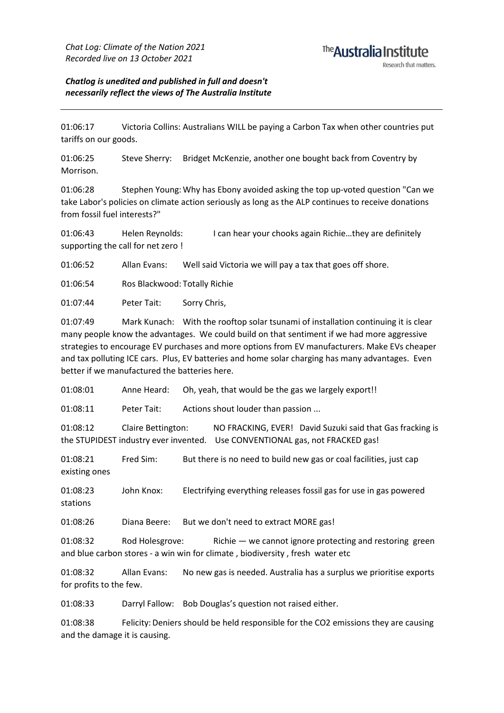#### *Chatlog is unedited and published in full and doesn't necessarily reflect the views of The Australia Institute*

01:06:17 Victoria Collins: Australians WILL be paying a Carbon Tax when other countries put tariffs on our goods.

01:06:25 Steve Sherry: Bridget McKenzie, another one bought back from Coventry by Morrison.

01:06:28 Stephen Young:Why has Ebony avoided asking the top up-voted question "Can we take Labor's policies on climate action seriously as long as the ALP continues to receive donations from fossil fuel interests?"

01:06:43 Helen Reynolds: I can hear your chooks again Richie…they are definitely supporting the call for net zero !

01:06:52 Allan Evans: Well said Victoria we will pay a tax that goes off shore.

01:06:54 Ros Blackwood: Totally Richie

01:07:44 Peter Tait: Sorry Chris,

01:07:49 Mark Kunach: With the rooftop solar tsunami of installation continuing it is clear many people know the advantages. We could build on that sentiment if we had more aggressive strategies to encourage EV purchases and more options from EV manufacturers. Make EVs cheaper and tax polluting ICE cars. Plus, EV batteries and home solar charging has many advantages. Even better if we manufactured the batteries here.

01:08:01 Anne Heard: Oh, yeah, that would be the gas we largely export!!

01:08:11 Peter Tait: Actions shout louder than passion ...

01:08:12 Claire Bettington: NO FRACKING, EVER! David Suzuki said that Gas fracking is the STUPIDEST industry ever invented. Use CONVENTIONAL gas, not FRACKED gas!

01:08:21 Fred Sim: But there is no need to build new gas or coal facilities, just cap existing ones

01:08:23 John Knox: Electrifying everything releases fossil gas for use in gas powered stations

01:08:26 Diana Beere: But we don't need to extract MORE gas!

01:08:32 Rod Holesgrove: Richie — we cannot ignore protecting and restoring green and blue carbon stores - a win win for climate , biodiversity , fresh water etc

01:08:32 Allan Evans: No new gas is needed. Australia has a surplus we prioritise exports for profits to the few.

01:08:33 Darryl Fallow: Bob Douglas's question not raised either.

01:08:38 Felicity:Deniers should be held responsible for the CO2 emissions they are causing and the damage it is causing.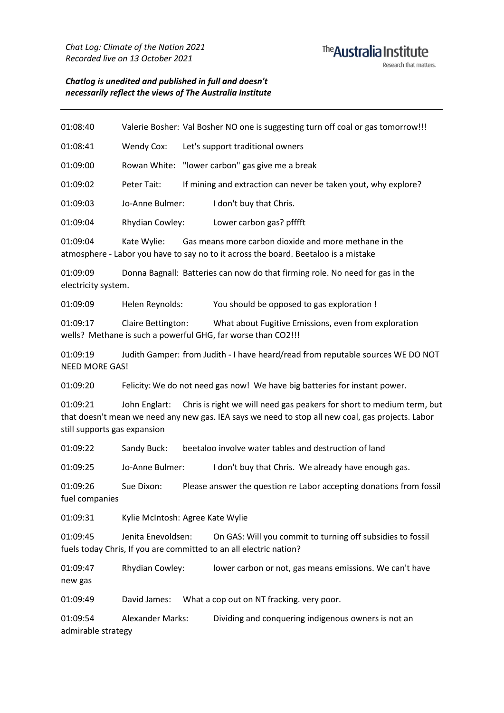#### <sup>The</sup> Australia Institute Research that matters

*Chatlog is unedited and published in full and doesn't necessarily reflect the views of The Australia Institute*

01:08:40 Valerie Bosher: Val Bosher NO one is suggesting turn off coal or gas tomorrow!!!

01:08:41 Wendy Cox: Let's support traditional owners

01:09:00 Rowan White: "lower carbon" gas give me a break

01:09:02 Peter Tait: If mining and extraction can never be taken yout, why explore?

01:09:03 Jo-Anne Bulmer: I don't buy that Chris.

01:09:04 Rhydian Cowley: Lower carbon gas? pfffft

01:09:04 Kate Wylie: Gas means more carbon dioxide and more methane in the atmosphere - Labor you have to say no to it across the board. Beetaloo is a mistake

01:09:09 Donna Bagnall: Batteries can now do that firming role. No need for gas in the electricity system.

01:09:09 Helen Reynolds: You should be opposed to gas exploration !

01:09:17 Claire Bettington: What about Fugitive Emissions, even from exploration wells? Methane is such a powerful GHG, far worse than CO2!!!

01:09:19 Judith Gamper: from Judith - I have heard/read from reputable sources WE DO NOT NEED MORE GAS!

01:09:20 Felicity:We do not need gas now! We have big batteries for instant power.

01:09:21 John Englart: Chris is right we will need gas peakers for short to medium term, but that doesn't mean we need any new gas. IEA says we need to stop all new coal, gas projects. Labor still supports gas expansion

01:09:22 Sandy Buck: beetaloo involve water tables and destruction of land

01:09:25 Jo-Anne Bulmer: I don't buy that Chris. We already have enough gas.

01:09:26 Sue Dixon: Please answer the question re Labor accepting donations from fossil fuel companies

01:09:31 Kylie McIntosh: Agree Kate Wylie

01:09:45 Jenita Enevoldsen: On GAS: Will you commit to turning off subsidies to fossil fuels today Chris, If you are committed to an all electric nation?

01:09:47 Rhydian Cowley: lower carbon or not, gas means emissions. We can't have new gas

01:09:49 David James: What a cop out on NT fracking. very poor.

01:09:54 Alexander Marks: Dividing and conquering indigenous owners is not an admirable strategy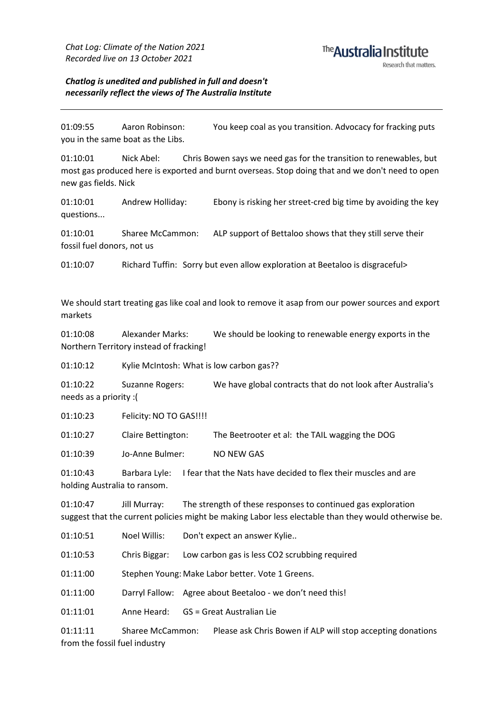# <sup>The</sup> Australia Institute

#### *Chatlog is unedited and published in full and doesn't necessarily reflect the views of The Australia Institute*

01:09:55 Aaron Robinson: You keep coal as you transition. Advocacy for fracking puts you in the same boat as the Libs.

01:10:01 Nick Abel: Chris Bowen says we need gas for the transition to renewables, but most gas produced here is exported and burnt overseas. Stop doing that and we don't need to open new gas fields. Nick

01:10:01 Andrew Holliday: Ebony is risking her street-cred big time by avoiding the key questions...

01:10:01 Sharee McCammon: ALP support of Bettaloo shows that they still serve their fossil fuel donors, not us

01:10:07 Richard Tuffin: Sorry but even allow exploration at Beetaloo is disgraceful>

We should start treating gas like coal and look to remove it asap from our power sources and export markets

01:10:08 Alexander Marks: We should be looking to renewable energy exports in the Northern Territory instead of fracking!

01:10:12 Kylie McIntosh: What is low carbon gas??

01:10:22 Suzanne Rogers: We have global contracts that do not look after Australia's needs as a priority :(

01:10:23 Felicity:NO TO GAS!!!!

01:10:27 Claire Bettington: The Beetrooter et al: the TAIL wagging the DOG

01:10:39 Jo-Anne Bulmer: NO NEW GAS

01:10:43 Barbara Lyle: I fear that the Nats have decided to flex their muscles and are holding Australia to ransom.

01:10:47 Jill Murray: The strength of these responses to continued gas exploration suggest that the current policies might be making Labor less electable than they would otherwise be.

01:10:51 Noel Willis: Don't expect an answer Kylie..

01:10:53 Chris Biggar: Low carbon gas is less CO2 scrubbing required

01:11:00 Stephen Young: Make Labor better. Vote 1 Greens.

01:11:00 Darryl Fallow: Agree about Beetaloo - we don't need this!

01:11:01 Anne Heard: GS = Great Australian Lie

01:11:11 Sharee McCammon: Please ask Chris Bowen if ALP will stop accepting donations from the fossil fuel industry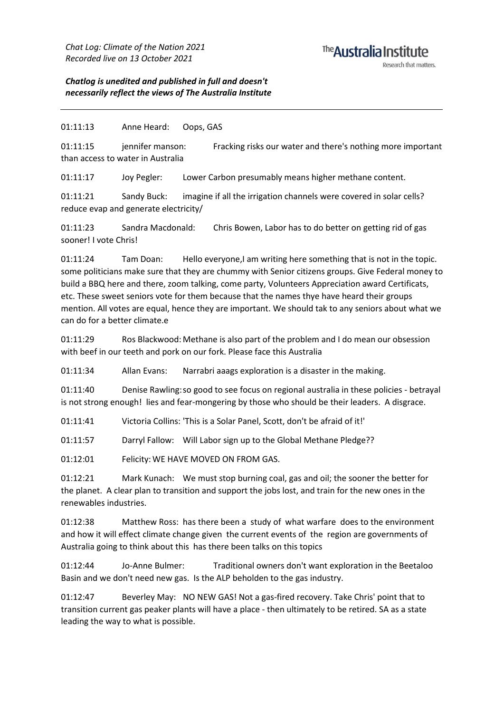#### <sup>The</sup> Australia Institute Research that matters

*Chatlog is unedited and published in full and doesn't necessarily reflect the views of The Australia Institute*

01:11:13 Anne Heard: Oops, GAS

01:11:15 jennifer manson: Fracking risks our water and there's nothing more important than access to water in Australia

01:11:17 Joy Pegler: Lower Carbon presumably means higher methane content.

01:11:21 Sandy Buck: imagine if all the irrigation channels were covered in solar cells? reduce evap and generate electricity/

01:11:23 Sandra Macdonald: Chris Bowen, Labor has to do better on getting rid of gas sooner! I vote Chris!

01:11:24 Tam Doan: Hello everyone,I am writing here something that is not in the topic. some politicians make sure that they are chummy with Senior citizens groups. Give Federal money to build a BBQ here and there, zoom talking, come party, Volunteers Appreciation award Certificats, etc. These sweet seniors vote for them because that the names thye have heard their groups mention. All votes are equal, hence they are important. We should tak to any seniors about what we can do for a better climate.e

01:11:29 Ros Blackwood: Methane is also part of the problem and I do mean our obsession with beef in our teeth and pork on our fork. Please face this Australia

01:11:34 Allan Evans: Narrabri aaags exploration is a disaster in the making.

01:11:40 Denise Rawling:so good to see focus on regional australia in these policies - betrayal is not strong enough! lies and fear-mongering by those who should be their leaders. A disgrace.

01:11:41 Victoria Collins: 'This is a Solar Panel, Scott, don't be afraid of it!'

01:11:57 Darryl Fallow: Will Labor sign up to the Global Methane Pledge??

01:12:01 Felicity: WE HAVE MOVED ON FROM GAS.

01:12:21 Mark Kunach: We must stop burning coal, gas and oil; the sooner the better for the planet. A clear plan to transition and support the jobs lost, and train for the new ones in the renewables industries.

01:12:38 Matthew Ross: has there been a study of what warfare does to the environment and how it will effect climate change given the current events of the region are governments of Australia going to think about this has there been talks on this topics

01:12:44 Jo-Anne Bulmer: Traditional owners don't want exploration in the Beetaloo Basin and we don't need new gas. Is the ALP beholden to the gas industry.

01:12:47 Beverley May: NO NEW GAS! Not a gas-fired recovery. Take Chris' point that to transition current gas peaker plants will have a place - then ultimately to be retired. SA as a state leading the way to what is possible.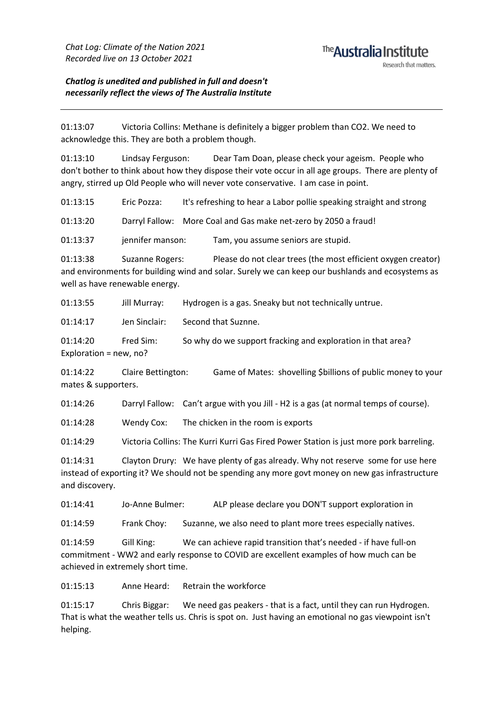#### <sup>The</sup> Australia Institute Research that matters

*Chatlog is unedited and published in full and doesn't necessarily reflect the views of The Australia Institute*

01:13:07 Victoria Collins: Methane is definitely a bigger problem than CO2. We need to acknowledge this. They are both a problem though.

01:13:10 Lindsay Ferguson: Dear Tam Doan, please check your ageism. People who don't bother to think about how they dispose their vote occur in all age groups. There are plenty of angry, stirred up Old People who will never vote conservative. I am case in point.

01:13:15 Eric Pozza: It's refreshing to hear a Labor pollie speaking straight and strong

01:13:20 Darryl Fallow: More Coal and Gas make net-zero by 2050 a fraud!

01:13:37 jennifer manson: Tam, you assume seniors are stupid.

01:13:38 Suzanne Rogers: Please do not clear trees (the most efficient oxygen creator) and environments for building wind and solar. Surely we can keep our bushlands and ecosystems as well as have renewable energy.

01:13:55 Jill Murray: Hydrogen is a gas. Sneaky but not technically untrue.

01:14:17 Jen Sinclair: Second that Suznne.

01:14:20 Fred Sim: So why do we support fracking and exploration in that area? Exploration = new, no?

01:14:22 Claire Bettington: Game of Mates: shovelling \$billions of public money to your mates & supporters.

01:14:26 Darryl Fallow: Can't argue with you Jill - H2 is a gas (at normal temps of course).

01:14:28 Wendy Cox: The chicken in the room is exports

01:14:29 Victoria Collins: The Kurri Kurri Gas Fired Power Station is just more pork barreling.

01:14:31 Clayton Drury: We have plenty of gas already. Why not reserve some for use here instead of exporting it? We should not be spending any more govt money on new gas infrastructure and discovery.

01:14:41 Jo-Anne Bulmer: ALP please declare you DON'T support exploration in

01:14:59 Frank Choy: Suzanne, we also need to plant more trees especially natives.

01:14:59 Gill King: We can achieve rapid transition that's needed - if have full-on commitment - WW2 and early response to COVID are excellent examples of how much can be achieved in extremely short time.

01:15:13 Anne Heard: Retrain the workforce

01:15:17 Chris Biggar: We need gas peakers - that is a fact, until they can run Hydrogen. That is what the weather tells us. Chris is spot on. Just having an emotional no gas viewpoint isn't helping.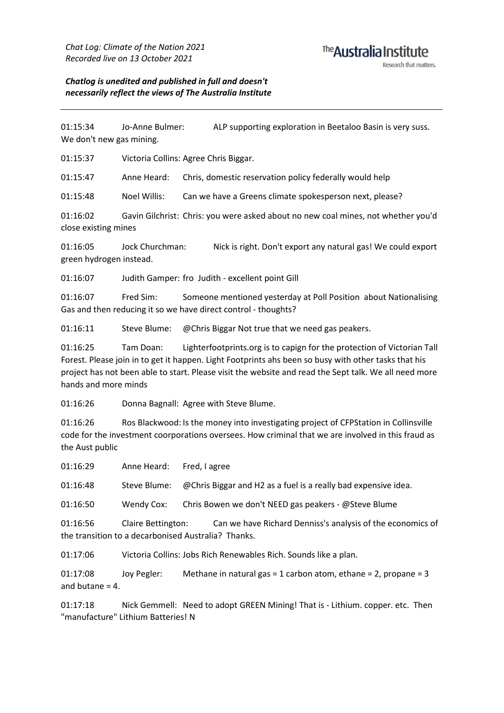#### *Chatlog is unedited and published in full and doesn't necessarily reflect the views of The Australia Institute*

01:15:34 Jo-Anne Bulmer: ALP supporting exploration in Beetaloo Basin is very suss. We don't new gas mining.

01:15:37 Victoria Collins: Agree Chris Biggar.

01:15:47 Anne Heard: Chris, domestic reservation policy federally would help

01:15:48 Noel Willis: Can we have a Greens climate spokesperson next, please?

01:16:02 Gavin Gilchrist: Chris: you were asked about no new coal mines, not whether you'd close existing mines

01:16:05 Jock Churchman: Nick is right. Don't export any natural gas! We could export green hydrogen instead.

01:16:07 Judith Gamper: fro Judith - excellent point Gill

01:16:07 Fred Sim: Someone mentioned yesterday at Poll Position about Nationalising Gas and then reducing it so we have direct control - thoughts?

01:16:11 Steve Blume: @Chris Biggar Not true that we need gas peakers.

01:16:25 Tam Doan: Lighterfootprints.org is to capign for the protection of Victorian Tall Forest. Please join in to get it happen. Light Footprints ahs been so busy with other tasks that his project has not been able to start. Please visit the website and read the Sept talk. We all need more hands and more minds

01:16:26 Donna Bagnall: Agree with Steve Blume.

01:16:26 Ros Blackwood: Is the money into investigating project of CFPStation in Collinsville code for the investment coorporations oversees. How criminal that we are involved in this fraud as the Aust public

01:16:29 Anne Heard: Fred, I agree 01:16:48 Steve Blume: @Chris Biggar and H2 as a fuel is a really bad expensive idea. 01:16:50 Wendy Cox: Chris Bowen we don't NEED gas peakers - @Steve Blume

01:16:56 Claire Bettington: Can we have Richard Denniss's analysis of the economics of the transition to a decarbonised Australia? Thanks.

01:17:06 Victoria Collins: Jobs Rich Renewables Rich. Sounds like a plan.

01:17:08 Joy Pegler: Methane in natural gas = 1 carbon atom, ethane = 2, propane = 3 and butane = 4.

01:17:18 Nick Gemmell: Need to adopt GREEN Mining! That is - Lithium. copper. etc. Then "manufacture" Lithium Batteries! N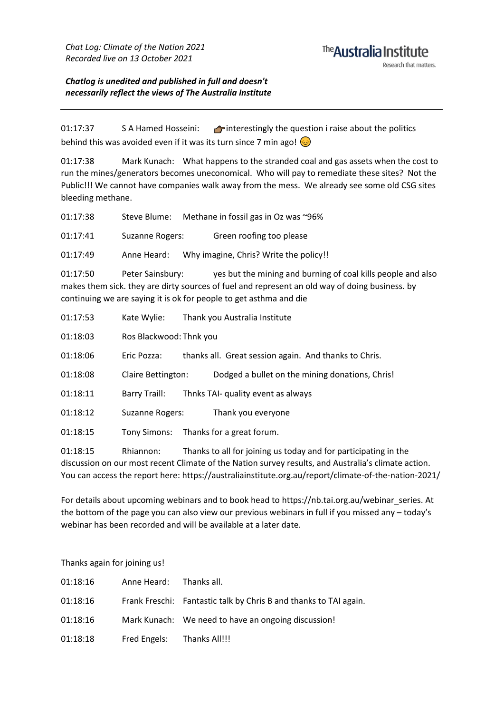*Chatlog is unedited and published in full and doesn't necessarily reflect the views of The Australia Institute*

01:17:37 S A Hamed Hosseini: **A** interestingly the question i raise about the politics behind this was avoided even if it was its turn since 7 min ago!

01:17:38 Mark Kunach: What happens to the stranded coal and gas assets when the cost to run the mines/generators becomes uneconomical. Who will pay to remediate these sites? Not the Public!!! We cannot have companies walk away from the mess. We already see some old CSG sites bleeding methane.

| 01:17:38 |                         | Steve Blume: Methane in fossil gas in Oz was ~96%                                                                                                                                                                                    |
|----------|-------------------------|--------------------------------------------------------------------------------------------------------------------------------------------------------------------------------------------------------------------------------------|
| 01:17:41 | Suzanne Rogers:         | Green roofing too please                                                                                                                                                                                                             |
| 01:17:49 | Anne Heard:             | Why imagine, Chris? Write the policy!!                                                                                                                                                                                               |
| 01:17:50 | Peter Sainsbury:        | yes but the mining and burning of coal kills people and also<br>makes them sick. they are dirty sources of fuel and represent an old way of doing business. by<br>continuing we are saying it is ok for people to get asthma and die |
| 01:17:53 | Kate Wylie:             | Thank you Australia Institute                                                                                                                                                                                                        |
| 01:18:03 | Ros Blackwood: Thnk you |                                                                                                                                                                                                                                      |
| 01:18:06 | Eric Pozza:             | thanks all. Great session again. And thanks to Chris.                                                                                                                                                                                |
| 01:18:08 | Claire Bettington:      | Dodged a bullet on the mining donations, Chris!                                                                                                                                                                                      |
| 01:18:11 | Barry Traill:           | Thnks TAI- quality event as always                                                                                                                                                                                                   |
| 01:18:12 | Suzanne Rogers:         | Thank you everyone                                                                                                                                                                                                                   |
|          |                         |                                                                                                                                                                                                                                      |

01:18:15 Tony Simons: Thanks for a great forum.

01:18:15 Rhiannon: Thanks to all for joining us today and for participating in the discussion on our most recent Climate of the Nation survey results, and Australia's climate action. You can access the report here: https://australiainstitute.org.au/report/climate-of-the-nation-2021/

For details about upcoming webinars and to book head to https://nb.tai.org.au/webinar\_series. At the bottom of the page you can also view our previous webinars in full if you missed any – today's webinar has been recorded and will be available at a later date.

Thanks again for joining us!

| 01:18:16 | Anne Heard: Thanks all.    |                                                                   |
|----------|----------------------------|-------------------------------------------------------------------|
| 01:18:16 |                            | Frank Freschi: Fantastic talk by Chris B and thanks to TAI again. |
| 01:18:16 |                            | Mark Kunach: We need to have an ongoing discussion!               |
| 01:18:18 | Fred Engels: Thanks All!!! |                                                                   |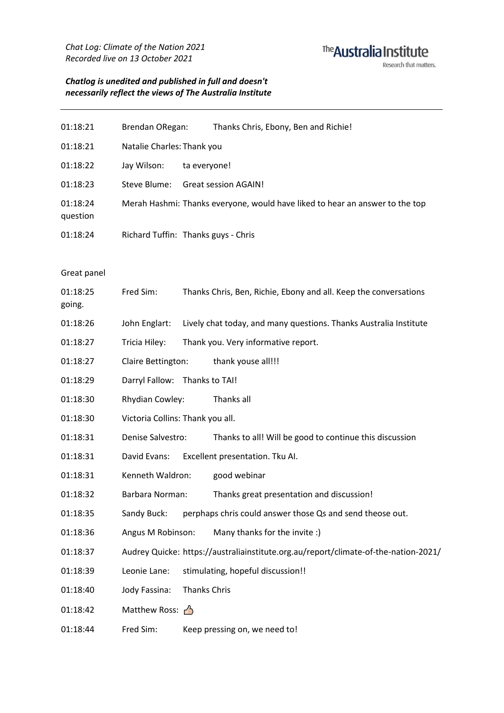## The Australia Institute Research that matters.

#### *Chatlog is unedited and published in full and doesn't necessarily reflect the views of The Australia Institute*

| 01:18:21             | Brendan ORegan:                     |              | Thanks Chris, Ebony, Ben and Richie!                                         |  |  |
|----------------------|-------------------------------------|--------------|------------------------------------------------------------------------------|--|--|
| 01:18:21             | Natalie Charles: Thank you          |              |                                                                              |  |  |
| 01:18:22             | Jay Wilson:                         | ta everyone! |                                                                              |  |  |
| 01:18:23             | Steve Blume:                        |              | <b>Great session AGAIN!</b>                                                  |  |  |
| 01:18:24<br>question |                                     |              | Merah Hashmi: Thanks everyone, would have liked to hear an answer to the top |  |  |
| 01:18:24             | Richard Tuffin: Thanks guys - Chris |              |                                                                              |  |  |

#### Great panel

| 01:18:25<br>going. | Fred Sim:                        |                     | Thanks Chris, Ben, Richie, Ebony and all. Keep the conversations                    |  |  |
|--------------------|----------------------------------|---------------------|-------------------------------------------------------------------------------------|--|--|
| 01:18:26           | John Englart:                    |                     | Lively chat today, and many questions. Thanks Australia Institute                   |  |  |
| 01:18:27           | Tricia Hiley:                    |                     | Thank you. Very informative report.                                                 |  |  |
| 01:18:27           | Claire Bettington:               |                     | thank youse all!!!                                                                  |  |  |
| 01:18:29           | Darryl Fallow: Thanks to TAI!    |                     |                                                                                     |  |  |
| 01:18:30           | Rhydian Cowley:                  |                     | Thanks all                                                                          |  |  |
| 01:18:30           | Victoria Collins: Thank you all. |                     |                                                                                     |  |  |
| 01:18:31           | Denise Salvestro:                |                     | Thanks to all! Will be good to continue this discussion                             |  |  |
| 01:18:31           | David Evans:                     |                     | Excellent presentation. Tku AI.                                                     |  |  |
| 01:18:31           | Kenneth Waldron:                 |                     | good webinar                                                                        |  |  |
| 01:18:32           | Barbara Norman:                  |                     | Thanks great presentation and discussion!                                           |  |  |
| 01:18:35           | Sandy Buck:                      |                     | perphaps chris could answer those Qs and send theose out.                           |  |  |
| 01:18:36           | Angus M Robinson:                |                     | Many thanks for the invite :)                                                       |  |  |
| 01:18:37           |                                  |                     | Audrey Quicke: https://australiainstitute.org.au/report/climate-of-the-nation-2021/ |  |  |
| 01:18:39           | Leonie Lane:                     |                     | stimulating, hopeful discussion!!                                                   |  |  |
| 01:18:40           | Jody Fassina:                    | <b>Thanks Chris</b> |                                                                                     |  |  |
| 01:18:42           | Matthew Ross:                    |                     |                                                                                     |  |  |
| 01:18:44           | Fred Sim:                        |                     | Keep pressing on, we need to!                                                       |  |  |